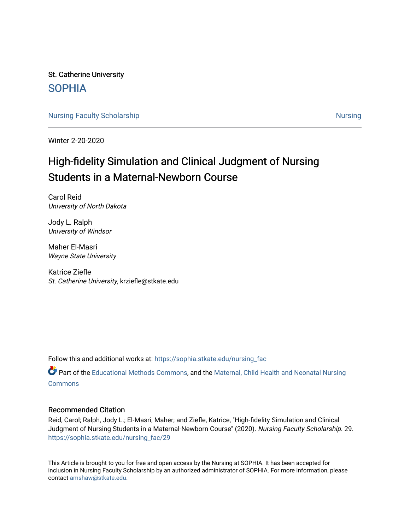St. Catherine University [SOPHIA](https://sophia.stkate.edu/) 

[Nursing Faculty Scholarship](https://sophia.stkate.edu/nursing_fac) [Nursing](https://sophia.stkate.edu/nursing) Nursing Nursing

Winter 2-20-2020

# High-fidelity Simulation and Clinical Judgment of Nursing Students in a Maternal-Newborn Course

Carol Reid University of North Dakota

Jody L. Ralph University of Windsor

Maher El-Masri Wayne State University

Katrice Ziefle St. Catherine University, krziefle@stkate.edu

Follow this and additional works at: [https://sophia.stkate.edu/nursing\\_fac](https://sophia.stkate.edu/nursing_fac?utm_source=sophia.stkate.edu%2Fnursing_fac%2F29&utm_medium=PDF&utm_campaign=PDFCoverPages)

Part of the [Educational Methods Commons,](http://network.bepress.com/hgg/discipline/1227?utm_source=sophia.stkate.edu%2Fnursing_fac%2F29&utm_medium=PDF&utm_campaign=PDFCoverPages) and the [Maternal, Child Health and Neonatal Nursing](http://network.bepress.com/hgg/discipline/721?utm_source=sophia.stkate.edu%2Fnursing_fac%2F29&utm_medium=PDF&utm_campaign=PDFCoverPages)  **[Commons](http://network.bepress.com/hgg/discipline/721?utm_source=sophia.stkate.edu%2Fnursing_fac%2F29&utm_medium=PDF&utm_campaign=PDFCoverPages)** 

# Recommended Citation

Reid, Carol; Ralph, Jody L.; El-Masri, Maher; and Ziefle, Katrice, "High-fidelity Simulation and Clinical Judgment of Nursing Students in a Maternal-Newborn Course" (2020). Nursing Faculty Scholarship. 29. [https://sophia.stkate.edu/nursing\\_fac/29](https://sophia.stkate.edu/nursing_fac/29?utm_source=sophia.stkate.edu%2Fnursing_fac%2F29&utm_medium=PDF&utm_campaign=PDFCoverPages) 

This Article is brought to you for free and open access by the Nursing at SOPHIA. It has been accepted for inclusion in Nursing Faculty Scholarship by an authorized administrator of SOPHIA. For more information, please contact [amshaw@stkate.edu.](mailto:amshaw@stkate.edu)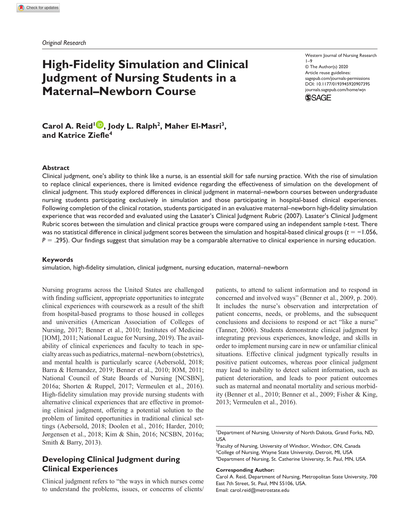*Original Research*

# **High-Fidelity Simulation and Clinical Judgment of Nursing Students in a Maternal–Newborn Course**

Western Journal of Nursing Research 1–9 © The Author(s) 2020 Article reuse guidelines: [sagepub.com/journals-permissions](https://us.sagepub.com/en-us/journals-permissions)  DOI: 10.1177/0193945920907395 [journals.sagepub.com/home/wjn](https://journals.sagepub.com/home/wjn) **SSAGE** 



#### **Abstract**

Clinical judgment, one's ability to think like a nurse, is an essential skill for safe nursing practice. With the rise of simulation to replace clinical experiences, there is limited evidence regarding the effectiveness of simulation on the development of clinical judgment. This study explored differences in clinical judgment in maternal–newborn courses between undergraduate nursing students participating exclusively in simulation and those participating in hospital-based clinical experiences. Following completion of the clinical rotation, students participated in an evaluative maternal–newborn high-fidelity simulation experience that was recorded and evaluated using the Lasater's Clinical Judgment Rubric (2007). Lasater's Clinical Judgment Rubric scores between the simulation and clinical practice groups were compared using an independent sample *t*-test. There was no statistical difference in clinical judgment scores between the simulation and hospital-based clinical groups (*t* = −1.056, *P* = .295). Our findings suggest that simulation may be a comparable alternative to clinical experience in nursing education.

#### **Keywords**

simulation, high-fidelity simulation, clinical judgment, nursing education, maternal–newborn

Nursing programs across the United States are challenged with finding sufficient, appropriate opportunities to integrate clinical experiences with coursework as a result of the shift from hospital-based programs to those housed in colleges and universities (American Association of Colleges of Nursing, 2017; Benner et al., 2010; Institutes of Medicine [IOM], 2011; National League for Nursing, 2019). The availability of clinical experiences and faculty to teach in specialty areas such as pediatrics, maternal–newborn (obstetrics), and mental health is particularly scarce (Aebersold, 2018; Barra & Hernandez, 2019; Benner et al., 2010; IOM, 2011; National Council of State Boards of Nursing [NCSBN], 2016a; Shorten & Ruppel, 2017; Vermeulen et al., 2016). High-fidelity simulation may provide nursing students with alternative clinical experiences that are effective in promoting clinical judgment, offering a potential solution to the problem of limited opportunities in traditional clinical settings (Aebersold, 2018; Doolen et al., 2016; Harder, 2010; Jørgensen et al., 2018; Kim & Shin, 2016; NCSBN, 2016a; Smith & Barry, 2013).

# **Developing Clinical Judgment during Clinical Experiences**

Clinical judgment refers to "the ways in which nurses come to understand the problems, issues, or concerns of clients/

patients, to attend to salient information and to respond in concerned and involved ways" (Benner et al., 2009, p. 200). It includes the nurse's observation and interpretation of patient concerns, needs, or problems, and the subsequent conclusions and decisions to respond or act "like a nurse" (Tanner, 2006). Students demonstrate clinical judgment by integrating previous experiences, knowledge, and skills in order to implement nursing care in new or unfamiliar clinical situations. Effective clinical judgment typically results in positive patient outcomes, whereas poor clinical judgment may lead to inability to detect salient information, such as patient deterioration, and leads to poor patient outcomes such as maternal and neonatal mortality and serious morbidity (Benner et al., 2010; Benner et al., 2009; Fisher & King, 2013; Vermeulen et al., 2016).

#### **Corresponding Author:**

Department of Nursing, University of North Dakota, Grand Forks, ND, USA

<sup>&</sup>lt;sup>2</sup>Faculty of Nursing, University of Windsor, Windsor, ON, Canada <sup>3</sup>College of Nursing, Wayne State University, Detroit, MI, USA <sup>4</sup>Department of Nursing, St. Catherine University, St. Paul, MN, USA

Carol A. Reid, Department of Nursing, Metropolitan State University, 700 East 7th Street, St. Paul, MN 55106, USA. Email: [carol.reid@metrostate.edu](mailto:Carol.reid@metrostate.edu)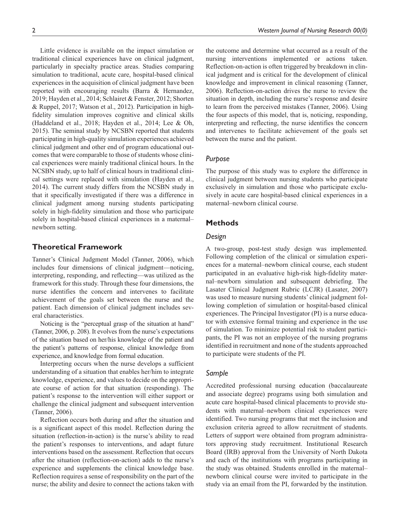Little evidence is available on the impact simulation or traditional clinical experiences have on clinical judgment, particularly in specialty practice areas. Studies comparing simulation to traditional, acute care, hospital-based clinical experiences in the acquisition of clinical judgment have been reported with encouraging results (Barra & Hernandez, 2019; Hayden et al., 2014; Schlairet & Fenster, 2012; Shorten & Ruppel, 2017; Watson et al., 2012). Participation in highfidelity simulation improves cognitive and clinical skills (Haddeland et al., 2018; Hayden et al., 2014; Lee & Oh, 2015). The seminal study by NCSBN reported that students participating in high-quality simulation experiences achieved clinical judgment and other end of program educational outcomes that were comparable to those of students whose clinical experiences were mainly traditional clinical hours. In the NCSBN study, up to half of clinical hours in traditional clinical settings were replaced with simulation (Hayden et al., 2014). The current study differs from the NCSBN study in that it specifically investigated if there was a difference in clinical judgment among nursing students participating solely in high-fidelity simulation and those who participate solely in hospital-based clinical experiences in a maternal– newborn setting.

# **Theoretical Framework**

Tanner's Clinical Judgment Model (Tanner, 2006), which includes four dimensions of clinical judgment—noticing, interpreting, responding, and reflecting—was utilized as the framework for this study. Through these four dimensions, the nurse identifies the concern and intervenes to facilitate achievement of the goals set between the nurse and the patient. Each dimension of clinical judgment includes several characteristics.

Noticing is the "perceptual grasp of the situation at hand" (Tanner, 2006, p. 208). It evolves from the nurse's expectations of the situation based on her/his knowledge of the patient and the patient's patterns of response, clinical knowledge from experience, and knowledge from formal education.

Interpreting occurs when the nurse develops a sufficient understanding of a situation that enables her/him to integrate knowledge, experience, and values to decide on the appropriate course of action for that situation (responding). The patient's response to the intervention will either support or challenge the clinical judgment and subsequent intervention (Tanner, 2006).

Reflection occurs both during and after the situation and is a significant aspect of this model. Reflection during the situation (reflection-in-action) is the nurse's ability to read the patient's responses to interventions, and adapt future interventions based on the assessment. Reflection that occurs after the situation (reflection-on-action) adds to the nurse's experience and supplements the clinical knowledge base. Reflection requires a sense of responsibility on the part of the nurse; the ability and desire to connect the actions taken with

the outcome and determine what occurred as a result of the nursing interventions implemented or actions taken. Reflection-on-action is often triggered by breakdown in clinical judgment and is critical for the development of clinical knowledge and improvement in clinical reasoning (Tanner, 2006). Reflection-on-action drives the nurse to review the situation in depth, including the nurse's response and desire to learn from the perceived mistakes (Tanner, 2006). Using the four aspects of this model, that is, noticing, responding, interpreting and reflecting, the nurse identifies the concern and intervenes to facilitate achievement of the goals set between the nurse and the patient.

# *Purpose*

The purpose of this study was to explore the difference in clinical judgment between nursing students who participate exclusively in simulation and those who participate exclusively in acute care hospital-based clinical experiences in a maternal–newborn clinical course.

# **Methods**

# *Design*

A two-group, post-test study design was implemented. Following completion of the clinical or simulation experiences for a maternal–newborn clinical course, each student participated in an evaluative high-risk high-fidelity maternal–newborn simulation and subsequent debriefing. The Lasater Clinical Judgment Rubric (LCJR) (Lasater, 2007) was used to measure nursing students' clinical judgment following completion of simulation or hospital-based clinical experiences. The Principal Investigator (PI) is a nurse educator with extensive formal training and experience in the use of simulation. To minimize potential risk to student participants, the PI was not an employee of the nursing programs identified in recruitment and none of the students approached to participate were students of the PI.

### *Sample*

Accredited professional nursing education (baccalaureate and associate degree) programs using both simulation and acute care hospital-based clinical placements to provide students with maternal–newborn clinical experiences were identified. Two nursing programs that met the inclusion and exclusion criteria agreed to allow recruitment of students. Letters of support were obtained from program administrators approving study recruitment. Institutional Research Board (IRB) approval from the University of North Dakota and each of the institutions with programs participating in the study was obtained. Students enrolled in the maternal– newborn clinical course were invited to participate in the study via an email from the PI, forwarded by the institution.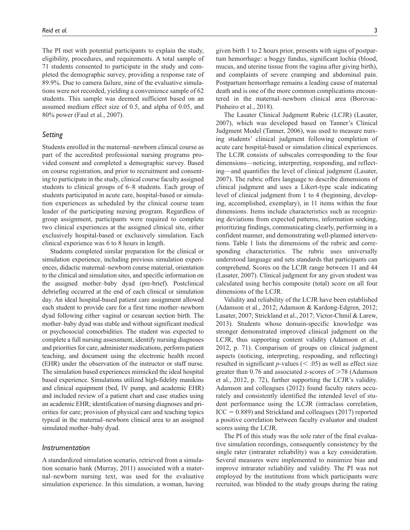The PI met with potential participants to explain the study, eligibility, procedures, and requirements. A total sample of 71 students consented to participate in the study and completed the demographic survey, providing a response rate of 89.9%. Due to camera failure, nine of the evaluative simulations were not recorded, yielding a convenience sample of 62 students. This sample was deemed sufficient based on an assumed medium effect size of 0.5, and alpha of 0.05, and 80% power (Faul et al., 2007).

## *Setting*

Students enrolled in the maternal–newborn clinical course as part of the accredited professional nursing programs provided consent and completed a demographic survey. Based on course registration, and prior to recruitment and consenting to participate in the study, clinical course faculty assigned students to clinical groups of 6–8 students. Each group of students participated in acute care, hospital-based or simulation experiences as scheduled by the clinical course team leader of the participating nursing program. Regardless of group assignment, participants were required to complete two clinical experiences at the assigned clinical site, either exclusively hospital-based or exclusively simulation. Each clinical experience was 6 to 8 hours in length.

Students completed similar preparation for the clinical or simulation experience, including previous simulation experiences, didactic maternal–newborn course material, orientation to the clinical and simulation sites, and specific information on the assigned mother–baby dyad (pre-brief). Postclinical debriefing occurred at the end of each clinical or simulation day. An ideal hospital-based patient care assignment allowed each student to provide care for a first time mother–newborn dyad following either vaginal or cesarean section birth. The mother–baby dyad was stable and without significant medical or psychosocial comorbidities. The student was expected to complete a full nursing assessment, identify nursing diagnoses and priorities for care, administer medications, perform patient teaching, and document using the electronic health record (EHR) under the observation of the instructor or staff nurse. The simulation based experiences mimicked the ideal hospital based experience. Simulations utilized high-fidelity manikins and clinical equipment (bed, IV pump, and academic EHR) and included review of a patient chart and case studies using an academic EHR; identification of nursing diagnoses and priorities for care; provision of physical care and teaching topics typical in the maternal–newborn clinical area to an assigned simulated mother–baby dyad.

### *Instrumentation*

A standardized simulation scenario, retrieved from a simulation scenario bank (Murray, 2011) associated with a maternal–newborn nursing text, was used for the evaluative simulation experience. In this simulation, a woman, having

given birth 1 to 2 hours prior, presents with signs of postpartum hemorrhage: a boggy fundus, significant lochia (blood, mucus, and uterine tissue from the vagina after giving birth), and complaints of severe cramping and abdominal pain. Postpartum hemorrhage remains a leading cause of maternal death and is one of the more common complications encountered in the maternal–newborn clinical area (Borovac-Pinheiro et al., 2018).

The Lasater Clinical Judgment Rubric (LCJR) (Lasater, 2007), which was developed based on Tanner's Clinical Judgment Model (Tanner, 2006), was used to measure nursing students' clinical judgment following completion of acute care hospital-based or simulation clinical experiences. The LCJR consists of subscales corresponding to the four dimensions—noticing, interpreting, responding, and reflecting—and quantifies the level of clinical judgment (Lasater, 2007). The rubric offers language to describe dimensions of clinical judgment and uses a Likert-type scale indicating level of clinical judgment from 1 to 4 (beginning, developing, accomplished, exemplary), in 11 items within the four dimensions. Items include characteristics such as recognizing deviations from expected patterns, information seeking, prioritizing findings, communicating clearly, performing in a confident manner, and demonstrating well-planned interventions. Table 1 lists the dimensions of the rubric and corresponding characteristics. The rubric uses universally understood language and sets standards that participants can comprehend. Scores on the LCJR range between 11 and 44 (Lasater, 2007). Clinical judgment for any given student was calculated using her/his composite (total) score on all four dimensions of the LCJR.

Validity and reliability of the LCJR have been established (Adamson et al., 2012; Adamson & Kardong-Edgren, 2012; Lasater, 2007; Strickland et al., 2017; Victor-Chmil & Larew, 2013). Students whose domain-specific knowledge was stronger demonstrated improved clinical judgment on the LCJR, thus supporting content validity (Adamson et al., 2012, p. 71). Comparison of groups on clinical judgment aspects (noticing, interpreting, responding, and reflecting) resulted in significant *p-*values (< .05) as well as effect size greater than 0.76 and associated z-scores of >78 (Adamson et al., 2012, p. 72), further supporting the LCJR's validity. Adamson and colleagues (2012) found faculty raters accurately and consistently identified the intended level of student performance using the LCJR (intraclass correlation, ICC = 0.889) and Strickland and colleagues (2017) reported a positive correlation between faculty evaluator and student scores using the LCJR.

The PI of this study was the sole rater of the final evaluative simulation recordings, consequently consistency by the single rater (intrarater reliability) was a key consideration. Several measures were implemented to minimize bias and improve intrarater reliability and validity. The PI was not employed by the institutions from which participants were recruited, was blinded to the study groups during the rating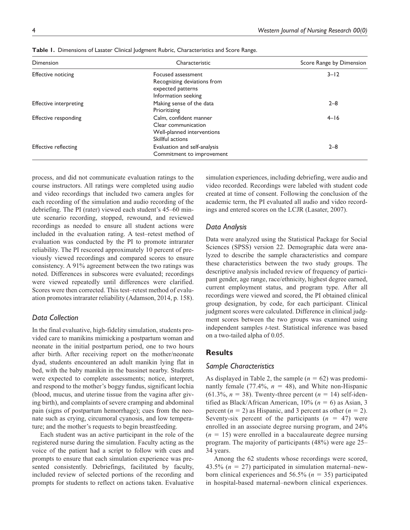| <b>Dimension</b>              | Characteristic               | Score Range by Dimension |  |  |
|-------------------------------|------------------------------|--------------------------|--|--|
| <b>Effective noticing</b>     | Focused assessment           | $3 - 12$                 |  |  |
|                               | Recognizing deviations from  |                          |  |  |
|                               | expected patterns            |                          |  |  |
|                               | Information seeking          |                          |  |  |
| <b>Effective interpreting</b> | Making sense of the data     | $2 - 8$                  |  |  |
|                               | Prioritizing                 |                          |  |  |
| Effective responding          | Calm, confident manner       | $4 - 16$                 |  |  |
|                               | Clear communication          |                          |  |  |
|                               | Well-planned interventions   |                          |  |  |
|                               | Skillful actions             |                          |  |  |
| <b>Effective reflecting</b>   | Evaluation and self-analysis | $2 - 8$                  |  |  |
|                               | Commitment to improvement    |                          |  |  |

**Table 1.** Dimensions of Lasater Clinical Judgment Rubric, Characteristics and Score Range.

process, and did not communicate evaluation ratings to the course instructors. All ratings were completed using audio and video recordings that included two camera angles for each recording of the simulation and audio recording of the debriefing. The PI (rater) viewed each student's 45–60 minute scenario recording, stopped, rewound, and reviewed recordings as needed to ensure all student actions were included in the evaluation rating. A test–retest method of evaluation was conducted by the PI to promote intrarater reliability. The PI rescored approximately 10 percent of previously viewed recordings and compared scores to ensure consistency. A 91% agreement between the two ratings was noted. Differences in subscores were evaluated; recordings were viewed repeatedly until differences were clarified. Scores were then corrected. This test–retest method of evaluation promotes intrarater reliability (Adamson, 2014, p. 158).

# *Data Collection*

In the final evaluative, high-fidelity simulation, students provided care to manikins mimicking a postpartum woman and neonate in the initial postpartum period, one to two hours after birth. After receiving report on the mother/neonate dyad, students encountered an adult manikin lying flat in bed, with the baby manikin in the bassinet nearby. Students were expected to complete assessments; notice, interpret, and respond to the mother's boggy fundus, significant lochia (blood, mucus, and uterine tissue from the vagina after giving birth), and complaints of severe cramping and abdominal pain (signs of postpartum hemorrhage); cues from the neonate such as crying, circumoral cyanosis, and low temperature; and the mother's requests to begin breastfeeding.

Each student was an active participant in the role of the registered nurse during the simulation. Faculty acting as the voice of the patient had a script to follow with cues and prompts to ensure that each simulation experience was presented consistently. Debriefings, facilitated by faculty, included review of selected portions of the recording and prompts for students to reflect on actions taken. Evaluative simulation experiences, including debriefing, were audio and video recorded. Recordings were labeled with student code created at time of consent. Following the conclusion of the academic term, the PI evaluated all audio and video recordings and entered scores on the LCJR (Lasater, 2007).

## *Data Analysis*

Data were analyzed using the Statistical Package for Social Sciences (SPSS) version 22. Demographic data were analyzed to describe the sample characteristics and compare these characteristics between the two study groups. The descriptive analysis included review of frequency of participant gender, age range, race/ethnicity, highest degree earned, current employment status, and program type. After all recordings were viewed and scored, the PI obtained clinical group designation, by code, for each participant. Clinical judgment scores were calculated. Difference in clinical judgment scores between the two groups was examined using independent samples *t*-test. Statistical inference was based on a two-tailed alpha of 0.05.

# **Results**

# *Sample Characteristics*

As displayed in Table 2, the sample  $(n = 62)$  was predominantly female  $(77.4\%, n = 48)$ , and White non-Hispanic  $(61.3\%, n = 38)$ . Twenty-three percent  $(n = 14)$  self-identified as Black/African American, 10% (*n* = 6) as Asian, 3 percent  $(n = 2)$  as Hispanic, and 3 percent as other  $(n = 2)$ . Seventy-six percent of the participants  $(n = 47)$  were enrolled in an associate degree nursing program, and 24%  $(n = 15)$  were enrolled in a baccalaureate degree nursing program. The majority of participants (48%) were age 25– 34 years.

Among the 62 students whose recordings were scored, 43.5% (*n* = 27) participated in simulation maternal–newborn clinical experiences and 56.5% (*n* = 35) participated in hospital-based maternal–newborn clinical experiences.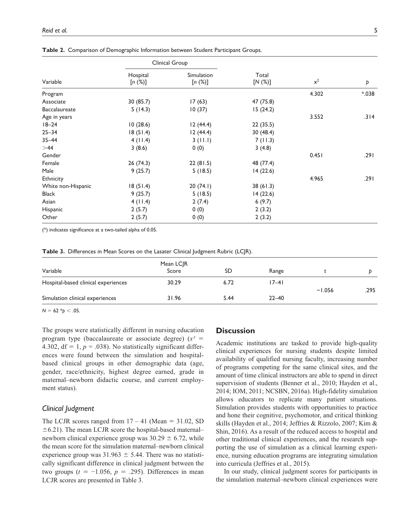|                      |                        | Clinical Group        |                  |       |        |  |
|----------------------|------------------------|-----------------------|------------------|-------|--------|--|
| Variable             | Hospital<br>$[n (\%)]$ | Simulation<br>[n (%)] | Total<br>[N (%)] | $x^2$ | Þ      |  |
| Program              |                        |                       |                  | 4.302 | $*038$ |  |
| Associate            | 30 (85.7)              | 17(63)                | 47 (75.8)        |       |        |  |
| <b>Baccalaureate</b> | 5(14.3)                | 10(37)                | 15(24.2)         |       |        |  |
| Age in years         |                        |                       |                  | 3.552 | .314   |  |
| $18 - 24$            | 10(28.6)               | 12(44.4)              | 22(35.5)         |       |        |  |
| $25 - 34$            | 18(51.4)               | 12(44.4)              | 30(48.4)         |       |        |  |
| $35 - 44$            | 4(11.4)                | 3(11.1)               | 7(11.3)          |       |        |  |
| >44                  | 3(8.6)                 | 0(0)                  | 3(4.8)           |       |        |  |
| Gender               |                        |                       |                  | 0.451 | .291   |  |
| Female               | 26(74.3)               | 22(81.5)              | 48 (77.4)        |       |        |  |
| Male                 | 9(25.7)                | 5(18.5)               | 14(22.6)         |       |        |  |
| Ethnicity            |                        |                       |                  | 4.965 | .291   |  |
| White non-Hispanic   | 18(51.4)               | 20(74.1)              | 38(61.3)         |       |        |  |
| <b>Black</b>         | 9(25.7)                | 5(18.5)               | 14(22.6)         |       |        |  |
| Asian                | 4(11.4)                | 2(7.4)                | 6(9.7)           |       |        |  |
| Hispanic             | 2(5.7)                 | 0(0)                  | 2(3.2)           |       |        |  |
| Other                | 2(5.7)                 | 0(0)                  | 2(3.2)           |       |        |  |

**Table 2.** Comparison of Demographic Information between Student Participant Groups.

(\*) indicates significance at a two-tailed alpha of 0.05.

|  | Table 3. Differences in Mean Scores on the Lasater Clinical Judgment Rubric (LCJR). |  |  |  |  |  |  |  |  |  |  |
|--|-------------------------------------------------------------------------------------|--|--|--|--|--|--|--|--|--|--|
|--|-------------------------------------------------------------------------------------|--|--|--|--|--|--|--|--|--|--|

|                                     | Mean LCJR |      |           |          |      |
|-------------------------------------|-----------|------|-----------|----------|------|
| Variable                            | Score     | SD   | Range     |          |      |
| Hospital-based clinical experiences | 30.29     | 6.72 | $17 - 41$ | $-1.056$ | .295 |
| Simulation clinical experiences     | 31.96     | 5.44 | $22 - 40$ |          |      |
|                                     |           |      |           |          |      |

 $N = 62 * p < .05$ .

The groups were statistically different in nursing education program type (baccalaureate or associate degree)  $(x^2 =$ 4.302,  $df = 1$ ,  $p = .038$ ). No statistically significant differences were found between the simulation and hospitalbased clinical groups in other demographic data (age, gender, race/ethnicity, highest degree earned, grade in maternal–newborn didactic course, and current employment status).

# *Clinical Judgment*

The LCJR scores ranged from  $17 - 41$  (Mean = 31.02, SD)  $\pm$ 6.21). The mean LCJR score the hospital-based maternal– newborn clinical experience group was  $30.29 \pm 6.72$ , while the mean score for the simulation maternal–newborn clinical experience group was  $31.963 \pm 5.44$ . There was no statistically significant difference in clinical judgment between the two groups  $(t = -1.056, p = .295)$ . Differences in mean LCJR scores are presented in Table 3.

# **Discussion**

Academic institutions are tasked to provide high-quality clinical experiences for nursing students despite limited availability of qualified nursing faculty, increasing number of programs competing for the same clinical sites, and the amount of time clinical instructors are able to spend in direct supervision of students (Benner et al., 2010; Hayden et al., 2014; IOM, 2011; NCSBN, 2016a). High-fidelity simulation allows educators to replicate many patient situations. Simulation provides students with opportunities to practice and hone their cognitive, psychomotor, and critical thinking skills (Hayden et al., 2014; Jeffries & Rizzolo, 2007; Kim & Shin, 2016). As a result of the reduced access to hospital and other traditional clinical experiences, and the research supporting the use of simulation as a clinical learning experience, nursing education programs are integrating simulation into curricula (Jeffries et al., 2015).

In our study, clinical judgment scores for participants in the simulation maternal–newborn clinical experiences were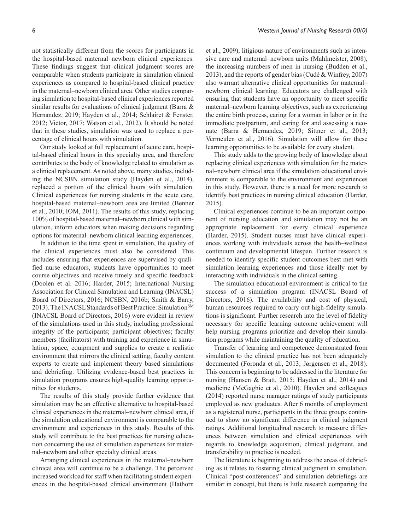not statistically different from the scores for participants in the hospital-based maternal–newborn clinical experiences. These findings suggest that clinical judgment scores are comparable when students participate in simulation clinical experiences as compared to hospital-based clinical practice in the maternal–newborn clinical area. Other studies comparing simulation to hospital-based clinical experiences reported similar results for evaluations of clinical judgment (Barra & Hernandez, 2019; Hayden et al., 2014; Schlairet & Fenster, 2012; Victor, 2017; Watson et al., 2012). It should be noted that in these studies, simulation was used to replace a percentage of clinical hours with simulation.

Our study looked at full replacement of acute care, hospital-based clinical hours in this specialty area, and therefore contributes to the body of knowledge related to simulation as a clinical replacement. As noted above, many studies, including the NCSBN simulation study (Hayden et al., 2014), replaced a portion of the clinical hours with simulation. Clinical experiences for nursing students in the acute care, hospital-based maternal–newborn area are limited (Benner et al., 2010; IOM, 2011). The results of this study, replacing 100% of hospital-based maternal–newborn clinical with simulation, inform educators when making decisions regarding options for maternal–newborn clinical learning experiences.

In addition to the time spent in simulation, the quality of the clinical experiences must also be considered. This includes ensuring that experiences are supervised by qualified nurse educators, students have opportunities to meet course objectives and receive timely and specific feedback (Doolen et al. 2016; Harder, 2015; International Nursing Association for Clinical Simulation and Learning (INACSL) Board of Directors, 2016; NCSBN, 2016b; Smith & Barry, 2013). The INACSL Standards of Best Practice: Simulation<sup>SM</sup> (INACSL Board of Directors, 2016) were evident in review of the simulations used in this study, including professional integrity of the participants; participant objectives; faculty members (facilitators) with training and experience in simulation; space, equipment and supplies to create a realistic environment that mirrors the clinical setting; faculty content experts to create and implement theory based simulations and debriefing. Utilizing evidence-based best practices in simulation programs ensures high-quality learning opportunities for students.

The results of this study provide further evidence that simulation may be an effective alternative to hospital-based clinical experiences in the maternal–newborn clinical area, if the simulation educational environment is comparable to the environment and experiences in this study. Results of this study will contribute to the best practices for nursing education concerning the use of simulation experiences for maternal–newborn and other specialty clinical areas.

Arranging clinical experiences in the maternal–newborn clinical area will continue to be a challenge. The perceived increased workload for staff when facilitating student experiences in the hospital-based clinical environment (Hathorn

et al., 2009), litigious nature of environments such as intensive care and maternal–newborn units (Mahlmeister, 2008), the increasing numbers of men in nursing (Budden et al., 2013), and the reports of gender bias (Cudé & Winfrey, 2007) also warrant alternative clinical opportunities for maternal– newborn clinical learning. Educators are challenged with ensuring that students have an opportunity to meet specific maternal–newborn learning objectives, such as experiencing the entire birth process, caring for a woman in labor or in the immediate postpartum, and caring for and assessing a neonate (Barra & Hernandez, 2019; Sittner et al., 2013; Vermeulen et al., 2016). Simulation will allow for these learning opportunities to be available for every student.

This study adds to the growing body of knowledge about replacing clinical experiences with simulation for the maternal–newborn clinical area if the simulation educational environment is comparable to the environment and experiences in this study. However, there is a need for more research to identify best practices in nursing clinical education (Harder, 2015).

Clinical experiences continue to be an important component of nursing education and simulation may not be an appropriate replacement for every clinical experience (Harder, 2015). Student nurses must have clinical experiences working with individuals across the health–wellness continuum and developmental lifespan. Further research is needed to identify specific student outcomes best met with simulation learning experiences and those ideally met by interacting with individuals in the clinical setting.

The simulation educational environment is critical to the success of a simulation program (INACSL Board of Directors, 2016). The availability and cost of physical, human resources required to carry out high-fidelity simulations is significant. Further research into the level of fidelity necessary for specific learning outcome achievement will help nursing programs prioritize and develop their simulation programs while maintaining the quality of education.

Transfer of learning and competence demonstrated from simulation to the clinical practice has not been adequately documented (Foronda et al., 2013; Jørgensen et al., 2018). This concern is beginning to be addressed in the literature for nursing (Hansen & Bratt, 2015; Hayden et al., 2014) and medicine (McGaghie et al., 2010). Hayden and colleagues (2014) reported nurse manager ratings of study participants employed as new graduates. After 6 months of employment as a registered nurse, participants in the three groups continued to show no significant difference in clinical judgment ratings. Additional longitudinal research to measure differences between simulation and clinical experiences with regards to knowledge acquisition, clinical judgment, and transferability to practice is needed.

The literature is beginning to address the areas of debriefing as it relates to fostering clinical judgment in simulation. Clinical "post-conferences" and simulation debriefings are similar in concept, but there is little research comparing the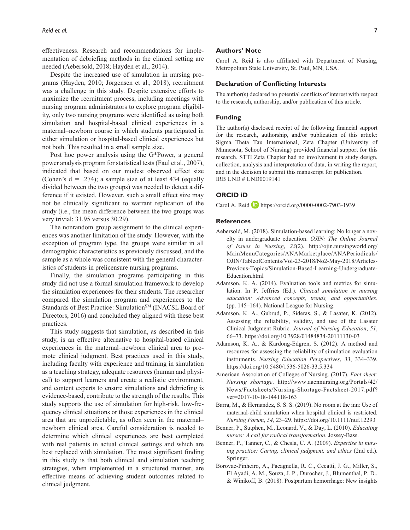effectiveness. Research and recommendations for implementation of debriefing methods in the clinical setting are needed (Aebersold, 2018; Hayden et al., 2014).

Despite the increased use of simulation in nursing programs (Hayden, 2010; Jørgensen et al., 2018), recruitment was a challenge in this study. Despite extensive efforts to maximize the recruitment process, including meetings with nursing program administrators to explore program eligibility, only two nursing programs were identified as using both simulation and hospital-based clinical experiences in a maternal–newborn course in which students participated in either simulation or hospital-based clinical experiences but not both. This resulted in a small sample size.

Post hoc power analysis using the G\*Power, a general power analysis program for statistical tests (Faul et al., 2007), indicated that based on our modest observed effect size (Cohen's  $d = .274$ ); a sample size of at least 434 (equally divided between the two groups) was needed to detect a difference if it existed. However, such a small effect size may not be clinically significant to warrant replication of the study (i.e., the mean difference between the two groups was very trivial; 31.95 versus 30.29).

The nonrandom group assignment to the clinical experiences was another limitation of the study. However, with the exception of program type, the groups were similar in all demographic characteristics as previously discussed, and the sample as a whole was consistent with the general characteristics of students in prelicensure nursing programs.

Finally, the simulation programs participating in this study did not use a formal simulation framework to develop the simulation experiences for their students. The researcher compared the simulation program and experiences to the Standards of Best Practice: Simulation<sup>SM</sup> (INACSL Board of Directors, 2016) and concluded they aligned with these best practices.

This study suggests that simulation, as described in this study, is an effective alternative to hospital-based clinical experiences in the maternal–newborn clinical area to promote clinical judgment. Best practices used in this study, including faculty with experience and training in simulation as a teaching strategy, adequate resources (human and physical) to support learners and create a realistic environment, and content experts to ensure simulations and debriefing is evidence-based, contribute to the strength of the results. This study supports the use of simulation for high-risk, low-frequency clinical situations or those experiences in the clinical area that are unpredictable, as often seen in the maternal– newborn clinical area. Careful consideration is needed to determine which clinical experiences are best completed with real patients in actual clinical settings and which are best replaced with simulation. The most significant finding in this study is that both clinical and simulation teaching strategies, when implemented in a structured manner, are effective means of achieving student outcomes related to clinical judgment.

## **Authors' Note**

Carol A. Reid is also affiliated with Department of Nursing, Metropolitan State University, St. Paul, MN, USA.

#### **Declaration of Conflicting Interests**

The author(s) declared no potential conflicts of interest with respect to the research, authorship, and/or publication of this article.

#### **Funding**

The author(s) disclosed receipt of the following financial support for the research, authorship, and/or publication of this article: Sigma Theta Tau International, Zeta Chapter (University of Minnesota, School of Nursing) provided financial support for this research. STTI Zeta Chapter had no involvement in study design, collection, analysis and interpretation of data, in writing the report, and in the decision to submit this manuscript for publication. IRB UND # UND0019141

# **ORCID iD**

Carol A. Reid **D** <https://orcid.org/0000-0002-7903-1939>

## **References**

- Aebersold, M. (2018). Simulation-based learning: No longer a novelty in undergraduate education. *OJIN: The Online Journal of Issues in Nursing*, *23*(2). [http://ojin.nursingworld.org/](http://ojin.nursingworld.org/MainMenuCategories/ANAMarketplace/ANAPeriodicals/OJIN/TableofContents/Vol-23-2018/No2-May-2018/Articles-Previous-Topics/Simulation-Based-Learning-Undergraduate-Education.html) [MainMenuCategories/ANAMarketplace/ANAPeriodicals/](http://ojin.nursingworld.org/MainMenuCategories/ANAMarketplace/ANAPeriodicals/OJIN/TableofContents/Vol-23-2018/No2-May-2018/Articles-Previous-Topics/Simulation-Based-Learning-Undergraduate-Education.html) [OJIN/TableofContents/Vol-23-2018/No2-May-2018/Articles-](http://ojin.nursingworld.org/MainMenuCategories/ANAMarketplace/ANAPeriodicals/OJIN/TableofContents/Vol-23-2018/No2-May-2018/Articles-Previous-Topics/Simulation-Based-Learning-Undergraduate-Education.html)[Previous-Topics/Simulation-Based-Learning-Undergraduate-](http://ojin.nursingworld.org/MainMenuCategories/ANAMarketplace/ANAPeriodicals/OJIN/TableofContents/Vol-23-2018/No2-May-2018/Articles-Previous-Topics/Simulation-Based-Learning-Undergraduate-Education.html)[Education.html](http://ojin.nursingworld.org/MainMenuCategories/ANAMarketplace/ANAPeriodicals/OJIN/TableofContents/Vol-23-2018/No2-May-2018/Articles-Previous-Topics/Simulation-Based-Learning-Undergraduate-Education.html)
- Adamson, K. A. (2014). Evaluation tools and metrics for simulation. In P. Jeffries (Ed.). *Clinical simulation in nursing education: Advanced concepts, trends, and opportunities*. (pp. 145–164). National League for Nursing.
- Adamson, K. A., Gubrud, P., Sideras, S., & Lasater, K. (2012). Assessing the reliability, validity, and use of the Lasater Clinical Judgment Rubric. *Journal of Nursing Education*, *51*, 66–73. <https://doi.org/10.3928/01484834-20111130-03>
- Adamson, K. A., & Kardong-Edgren, S. (2012). A method and resources for assessing the reliability of simulation evaluation instruments. *Nursing Education Perspectives*, *33*, 334–339. <https://doi.org/10.5480/1536-5026-33.5.334>
- American Association of Colleges of Nursing. (2017). *Fact sheet: Nursing shortage*. [http://www.aacnnursing.org/Portals/42/](http://www.aacnnursing.org/Portals/42/News/Factsheets/Nursing-Shortage-Factsheet-2017.pdf?ver=2017-10-18-144118-163) [News/Factsheets/Nursing-Shortage-Factsheet-2017.pdf?](http://www.aacnnursing.org/Portals/42/News/Factsheets/Nursing-Shortage-Factsheet-2017.pdf?ver=2017-10-18-144118-163) [ver=2017-10-18-144118-163](http://www.aacnnursing.org/Portals/42/News/Factsheets/Nursing-Shortage-Factsheet-2017.pdf?ver=2017-10-18-144118-163)
- Barra, M., & Hernandez, S. S. S. (2019). No room at the inn: Use of maternal-child simulation when hospital clinical is restricted. *Nursing Forum*, *54*, 23–29.<https://doi.org/10.1111/nuf.12293>
- Benner, P., Sutphen, M., Leonard, V., & Day, L. (2010). *Educating nurses: A call for radical transformation*. Jossey-Bass.
- Benner, P., Tanner, C., & Chesla, C. A. (2009). *Expertise in nursing practice: Caring, clinical judgment, and ethics* (2nd ed.). Springer.
- Borovac-Pinheiro, A., Pacagnella, R. C., Cecatti, J. G., Miller, S., El Ayadi, A. M., Souza, J. P., Durocher, J., Blumenthal, P. D., & Winikoff, B. (2018). Postpartum hemorrhage: New insights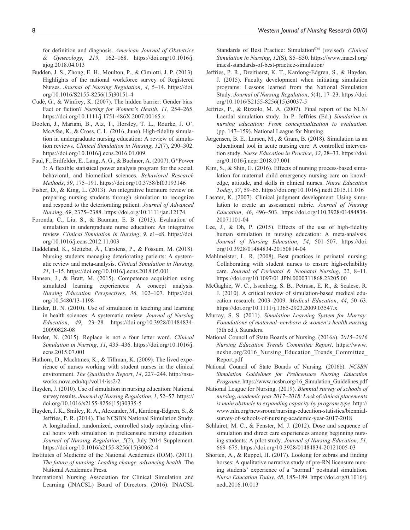for definition and diagnosis. *American Journal of Obstetrics & Gynecology*, *219*, 162–168. [https://doi.org/10.1016/j.](https://doi.org/10.1016/j.ajog.2018.04.013) [ajog.2018.04.013](https://doi.org/10.1016/j.ajog.2018.04.013)

- Budden, J. S., Zhong, E. H., Moulton, P., & Cimiotti, J. P. (2013). Highlights of the national workforce survey of Registered Nurses. *Journal of Nursing Regulation*, *4*, 5–14. [https://doi.](https://doi.org/10.1016/S2155-8256(15)30151-4) [org/10.1016/S2155-8256\(15\)30151-4](https://doi.org/10.1016/S2155-8256(15)30151-4)
- Cudé, G., & Winfrey, K. (2007). The hidden barrier: Gender bias: Fact or fiction? *Nursing for Women's Health*, *11*, 254–265. <https://doi.org/10.1111/j.1751-486X.2007.00165.x>
- Doolen, J., Mariani, B., Atz, T., Horsley, T. L., Rourke, J. O', McAfee, K., & Cross, C. L. (2016, June). High-fidelity simulation in undergraduate nursing education: A review of simulation reviews. *Clinical Simulation in Nursing*, *12*(7), 290–302. <https://doi.org/10.1016/j.ecns.2016.01.009>.
- Faul, F., Erdfelder, E., Lang, A. G., & Buchner, A. (2007). G\*Power 3: A flexible statistical power analysis program for the social, behavioral, and biomedical sciences. *Behavioral Research Methods*, *39*, 175–191. <https://doi.org/10.3758/bf03193146>
- Fisher, D., & King, L. (2013). An integrative literature review on preparing nursing students through simulation to recognize and respond to the deteriorating patient. *Journal of Advanced Nursing*, *69*, 2375–2388. [https://doi.org/10.1111/jan.12174.](https://doi.org/10.1111/jan.12174)
- Foronda, C., Liu, S., & Bauman, E. B. (2013). Evaluation of simulation in undergraduate nurse education: An integrative review. *Clinical Simulation in Nursing*, *9*, e1–e8. [https://doi.](https://doi.org/10.1016/j.ecns.2012.11.003) [org/10.1016/j.ecns.2012.11.003](https://doi.org/10.1016/j.ecns.2012.11.003)
- Haddeland, K., Slettebø, Å., Carstens, P., & Fossum, M. (2018). Nursing students managing deteriorating patients: A systematic review and meta-analysis. *Clinical Simulation in Nursing*, *21*, 1–15. <https://doi.org/10.1016/j.ecns.2018.05.001>.
- Hansen, J., & Bratt, M. (2015). Competence acquisition using simulated learning experiences: A concept analysis. *Nursing Education Perspectives*, *36*, 102–107. [https://doi.](https://doi.org/10.5480/13-1198) [org/10.5480/13-1198](https://doi.org/10.5480/13-1198)
- Harder, B. N. (2010). Use of simulation in teaching and learning in health sciences: A systematic review. *Journal of Nursing Education*, *49*, 23–28. [https://doi.org/10.3928/01484834-](https://doi.org/10.3928/01484834-20090828-08) [20090828-08](https://doi.org/10.3928/01484834-20090828-08)
- Harder, N. (2015). Replace is not a four letter word. *Clinical Simulation in Nursing*, *11*, 435–436. [https://doi.org/10.1016/j.](https://doi.org/10.1016/j.ecns.2015.07.001) [ecns.2015.07.001](https://doi.org/10.1016/j.ecns.2015.07.001)
- Hathorn, D., Machtmes, K., & Tillman, K. (2009). The lived experience of nurses working with student nurses in the clinical environment. *The Qualitative Report*, *14*, 227–244. [http://nsu](http://nsuworks.nova.edu/tqr/vol14/iss2/2)[works.nova.edu/tqr/vol14/iss2/2](http://nsuworks.nova.edu/tqr/vol14/iss2/2)
- Hayden, J. (2010). Use of simulation in nursing education: National survey results. *Journal of Nursing Regulation*, *1*, 52–57. [https://](https://doi.org/10.1016/s2155-8256(15)30335-5) [doi.org/10.1016/s2155-8256\(15\)30335-5](https://doi.org/10.1016/s2155-8256(15)30335-5)
- Hayden, J. K., Smiley, R. A., Alexander, M., Kardong-Edgren, S., & Jeffries, P. R. (2014). The NCSBN National Simulation Study: A longitudinal, randomized, controlled study replacing clinical hours with simulation in prelicensure nursing education. *Journal of Nursing Regulation*, *5*(2), July 2014 Supplement. [https://doi.org/10.1016/s2155-8256\(15\)30062-4](https://doi.org/10.1016/s2155-8256(15)30062-4)
- Institutes of Medicine of the National Academies (IOM). (2011). *The future of nursing: Leading change, advancing health*. The National Academies Press.
- International Nursing Association for Clinical Simulation and Learning (INACSL) Board of Directors. (2016). INACSL

Standards of Best Practice: Simulation<sup>SM</sup> (revised). *Clinical Simulation in Nursing*, *12*(S), S5–S50. [https://www.inacsl.org/](https://www.inacsl.org/inacsl-standards-of-best-practice-simulation/) [inacsl-standards-of-best-practice-simulation/](https://www.inacsl.org/inacsl-standards-of-best-practice-simulation/)

- Jeffries, P. R., Dreifuerst, K. T., Kardong-Edgren, S., & Hayden, J. (2015). Faculty development when initiating simulation programs: Lessons learned from the National Simulation Study. *Journal of Nursing Regulation*, *5*(4), 17–23. [https://doi.](https://doi.org/10.1016/S2155-8256(15)30037-5) [org/10.1016/S2155-8256\(15\)30037-5](https://doi.org/10.1016/S2155-8256(15)30037-5)
- Jeffries, P., & Rizzolo, M. A. (2007). Final report of the NLN/ Laerdal simulation study. In P. Jeffries (Ed.) *Simulation in nursing education: From conceptualization to evaluation*. (pp. 147–159). National League for Nursing.
- Jørgensen, B. E., Larsen, M., & Gram, B. (2018). Simulation as an educational tool in acute nursing care: A controlled intervention study. *Nurse Education in Practice*, *32*, 28–33. [https://doi.](https://doi.org/0.1016/j.nepr.2018.07.001) [org/0.1016/j.nepr.2018.07.001](https://doi.org/0.1016/j.nepr.2018.07.001)
- Kim, S., & Shin, G. (2016). Effects of nursing process-based simulation for maternal child emergency nursing care on knowledge, attitude, and skills in clinical nurses. *Nurse Education Today*, *37*, 59–65. <https://doi.org/10.1016/j.nedt.2015.11.016>
- Lasater, K. (2007). Clinical judgment development: Using simulation to create an assessment rubric. *Journal of Nursing Education*, *46*, 496–503. [https://doi.org/110.3928/01484834-](https://doi.org/110.3928/01484834-20071101-04) [20071101-04](https://doi.org/110.3928/01484834-20071101-04)
- Lee, J., & Oh, P. (2015). Effects of the use of high-fidelity human simulation in nursing education: A meta-analysis. *Journal of Nursing Education*, *54*, 501–507. [https://doi.](https://doi.org/10.3928/01484834-20150814-04) [org/10.3928/01484834-20150814-04](https://doi.org/10.3928/01484834-20150814-04)
- Mahlmeister, L. R. (2008). Best practices in perinatal nursing: Collaborating with student nurses to ensure high-reliability care. *Journal of Perinatal & Neonatal Nursing*, *22*, 8–11. <https://doi.org/10.1097/01.JPN.0000311868.23205.00>
- McGaghie, W. C., Issenberg, S. B., Petrusa, E. R., & Scalese, R. J. (2010). A critical review of simulation-based medical education research: 2003–2009. *Medical Education*, *44*, 50–63. <https://doi.org/10.1111/j.1365-2923.2009.03547.x>
- Murray, S. S. (2011). *Simulation Learning System for Murray: Foundations of maternal–newborn & women's health nursing* (5th ed.). Saunders.
- National Council of State Boards of Nursing. (2016a). *2015–2016 Nursing Education Trends Committee Report*. [https://www.](https://www.ncsbn.org/2016_Nursing_Education_Trends_Committee_Report.pdf) [ncsbn.org/2016\\_Nursing\\_Education\\_Trends\\_Committee\\_](https://www.ncsbn.org/2016_Nursing_Education_Trends_Committee_Report.pdf) [Report.pdf](https://www.ncsbn.org/2016_Nursing_Education_Trends_Committee_Report.pdf)
- National Council of State Boards of Nursing. (2016b). *NCSBN Simulation Guidelines for Prelicensure Nursing Education Programs*. [https://www.ncsbn.org/16\\_Simulation\\_Guidelines.pdf](https://www.ncsbn.org/16_Simulation_Guidelines.pdf)
- National League for Nursing. (2019). *Biennial survey of schools of nursing, academic year 2017–2018: Lack of clinical placements is main obstacle to expanding capacity by program type*. [http://](http://www.nln.org/newsroom/nursing-education-statistics/biennial-survey-of-schools-of-nursing-academic-year-2017-2018) [www.nln.org/newsroom/nursing-education-statistics/biennial](http://www.nln.org/newsroom/nursing-education-statistics/biennial-survey-of-schools-of-nursing-academic-year-2017-2018)[survey-of-schools-of-nursing-academic-year-2017-2018](http://www.nln.org/newsroom/nursing-education-statistics/biennial-survey-of-schools-of-nursing-academic-year-2017-2018)
- Schlairet, M. C., & Fenster, M. J. (2012). Dose and sequence of simulation and direct care experiences among beginning nursing students: A pilot study. *Journal of Nursing Education*, *51*, 669–675. <https://doi.org/10.3928/01484834-20121005-03>
- Shorten, A., & Ruppel, H. (2017). Looking for zebras and finding horses: A qualitative narrative study of pre-RN licensure nursing students' experience of a "normal" postnatal simulation. *Nurse Education Today*, *48*, 185–189. [https://doi.org/0.1016/j.](https://doi.org/0.1016/j.nedt.2016.10.013) [nedt.2016.10.013](https://doi.org/0.1016/j.nedt.2016.10.013)